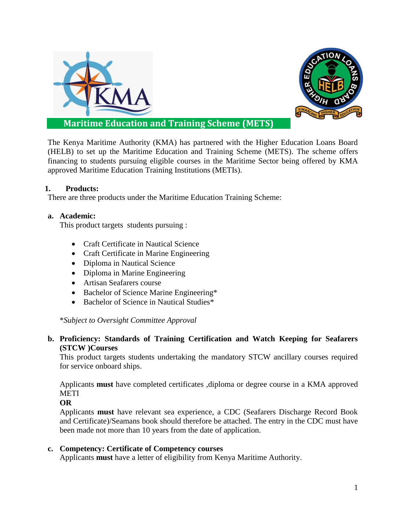



**Maritime Education and Training Scheme (METS)**

The Kenya Maritime Authority (KMA) has partnered with the Higher Education Loans Board (HELB) to set up the Maritime Education and Training Scheme (METS). The scheme offers financing to students pursuing eligible courses in the Maritime Sector being offered by KMA approved Maritime Education Training Institutions (METIs).

## **1. Products:**

There are three products under the Maritime Education Training Scheme:

#### **a. Academic:**

This product targets students pursuing :

- Craft Certificate in Nautical Science
- Craft Certificate in Marine Engineering
- Diploma in Nautical Science
- Diploma in Marine Engineering
- Artisan Seafarers course
- Bachelor of Science Marine Engineering\*
- Bachelor of Science in Nautical Studies\*

\**Subject to Oversight Committee Approval*

## **b. Proficiency: Standards of Training Certification and Watch Keeping for Seafarers (STCW )Courses**

This product targets students undertaking the mandatory STCW ancillary courses required for service onboard ships.

Applicants **must** have completed certificates ,diploma or degree course in a KMA approved **METI** 

#### **OR**

Applicants **must** have relevant sea experience, a CDC (Seafarers Discharge Record Book and Certificate)/Seamans book should therefore be attached. The entry in the CDC must have been made not more than 10 years from the date of application.

#### **c. Competency: Certificate of Competency courses**

Applicants **must** have a letter of eligibility from Kenya Maritime Authority.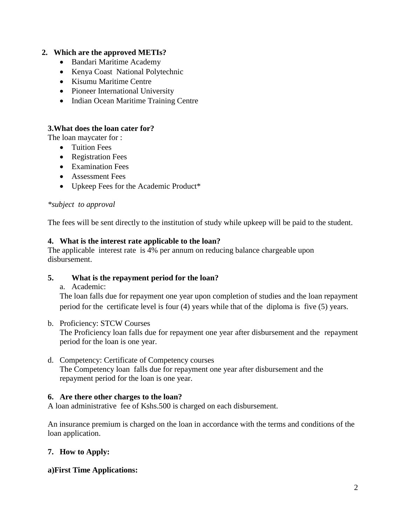## **2. Which are the approved METIs?**

- Bandari Maritime Academy
- Kenya Coast National Polytechnic
- Kisumu Maritime Centre
- Pioneer International University
- Indian Ocean Maritime Training Centre

#### **3.What does the loan cater for?**

The loan maycater for :

- Tuition Fees
- Registration Fees
- Examination Fees
- Assessment Fees
- Upkeep Fees for the Academic Product\*

#### *\*subject to approval*

The fees will be sent directly to the institution of study while upkeep will be paid to the student.

#### **4. What is the interest rate applicable to the loan?**

The applicable interest rate is 4% per annum on reducing balance chargeable upon disbursement.

#### **5. What is the repayment period for the loan?**

a. Academic:

The loan falls due for repayment one year upon completion of studies and the loan repayment period for the certificate level is four (4) years while that of the diploma is five (5) years.

b. Proficiency: STCW Courses

The Proficiency loan falls due for repayment one year after disbursement and the repayment period for the loan is one year.

d. Competency: Certificate of Competency courses The Competency loan falls due for repayment one year after disbursement and the repayment period for the loan is one year.

#### **6. Are there other charges to the loan?**

A loan administrative fee of Kshs.500 is charged on each disbursement.

An insurance premium is charged on the loan in accordance with the terms and conditions of the loan application.

#### **7. How to Apply:**

#### **a)First Time Applications:**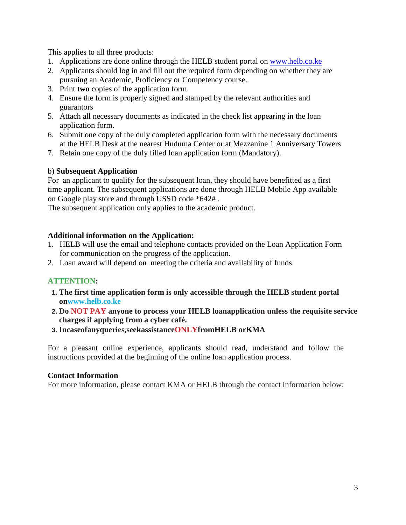This applies to all three products:

- 1. Applications are done online through the HELB student portal on [www.helb.co.ke](http://www.helb.co.ke/)
- 2. Applicants should log in and fill out the required form depending on whether they are pursuing an Academic, Proficiency or Competency course.
- 3. Print **two** copies of the application form.
- 4. Ensure the form is properly signed and stamped by the relevant authorities and guarantors
- 5. Attach all necessary documents as indicated in the check list appearing in the loan application form.
- 6. Submit one copy of the duly completed application form with the necessary documents at the HELB Desk at the nearest Huduma Center or at Mezzanine 1 Anniversary Towers
- 7. Retain one copy of the duly filled loan application form (Mandatory).

# b) **Subsequent Application**

For an applicant to qualify for the subsequent loan, they should have benefitted as a first time applicant. The subsequent applications are done through HELB Mobile App available on Google play store and through USSD code \*642# .

The subsequent application only applies to the academic product.

# **Additional information on the Application:**

- 1. HELB will use the email and telephone contacts provided on the Loan Application Form for communication on the progress of the application.
- 2. Loan award will depend on meeting the criteria and availability of funds.

# **ATTENTION:**

- **1. The first time application form is only accessible through the HELB student portal o[nwww.helb.co.ke](http://www.helb.co.ke/)**
- **2. Do NOT PAY anyone to process your HELB loanapplication unless the requisite service charges if applying from a cyber café.**
- **3. Incaseofanyqueries,seekassistanceONLYfromHELB orKMA**

For a pleasant online experience, applicants should read, understand and follow the instructions provided at the beginning of the online loan application process.

# **Contact Information**

For more information, please contact KMA or HELB through the contact information below: